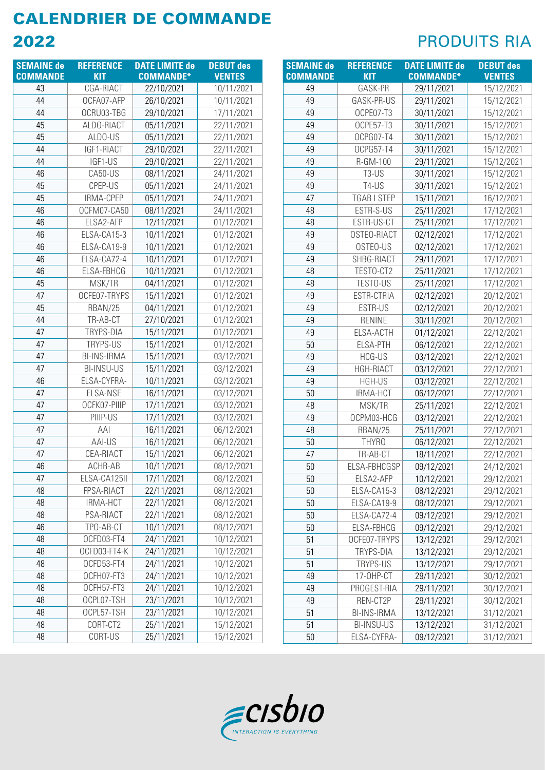| <b>SEMAINE de</b> | <b>REFERENCE</b>   | <b>DATE LIMITE de</b> | <b>DEBUT des</b> |
|-------------------|--------------------|-----------------------|------------------|
| <b>COMMANDE</b>   | <b>KIT</b>         | <b>COMMANDE*</b>      | <b>VENTES</b>    |
| 43                | CGA-RIACT          | 22/10/2021            | 10/11/2021       |
| 44                | OCFA07-AFP         | 26/10/2021            | 10/11/2021       |
| 44                | OCRU03-TBG         | 29/10/2021            | 17/11/2021       |
| 45                | ALDO-RIACT         | 05/11/2021            | 22/11/2021       |
| 45                | ALDO-US            | 05/11/2021            | 22/11/2021       |
| 44                | IGF1-RIACT         | 29/10/2021            | 22/11/2021       |
| 44                | IGF1-US            | 29/10/2021            | 22/11/2021       |
| 46                | CA50-US            | 08/11/2021            | 24/11/2021       |
| 45                | CPEP-US            | 05/11/2021            | 24/11/2021       |
| 45                | IRMA-CPEP          | 05/11/2021            | 24/11/2021       |
| 46                | OCFM07-CA50        | 08/11/2021            | 24/11/2021       |
| 46                | ELSA2-AFP          | 12/11/2021            | 01/12/2021       |
| 46                | ELSA-CA15-3        | 10/11/2021            | 01/12/2021       |
| 46                | ELSA-CA19-9        | 10/11/2021            | 01/12/2021       |
| 46                | ELSA-CA72-4        | 10/11/2021            | 01/12/2021       |
| 46                | <b>ELSA-FBHCG</b>  | 10/11/2021            | 01/12/2021       |
| 45                | MSK/TR             | 04/11/2021            | 01/12/2021       |
| 47                | OCFE07-TRYPS       | 15/11/2021            | 01/12/2021       |
| 45                | RBAN/25            | 04/11/2021            | 01/12/2021       |
| 44                | TR-AB-CT           | 27/10/2021            | 01/12/2021       |
| 47                | TRYPS-DIA          | 15/11/2021            | 01/12/2021       |
| 47                | TRYPS-US           | 15/11/2021            | 01/12/2021       |
| 47                | <b>BI-INS-IRMA</b> | 15/11/2021            | 03/12/2021       |
| 47                | <b>BI-INSU-US</b>  | 15/11/2021            | 03/12/2021       |
| 46                | ELSA-CYFRA-        | 10/11/2021            | 03/12/2021       |
| 47                | ELSA-NSE           | 16/11/2021            | 03/12/2021       |
| 47                | OCFK07-PIIIP       | 17/11/2021            | 03/12/2021       |
| 47                | PIIIP-US           | 17/11/2021            | 03/12/2021       |
| 47                | AAI                | 16/11/2021            | 06/12/2021       |
| 47                | AAI-US             | 16/11/2021            | 06/12/2021       |
| 47                | CEA-RIACT          | 15/11/2021            | 06/12/2021       |
| 46                | ACHR-AB            | 10/11/2021            | 08/12/2021       |
| 47                | ELSA-CA125II       | 17/11/2021            | 08/12/2021       |
| 48                | FPSA-RIACT         | 22/11/2021            | 08/12/2021       |
| 48                | IRMA-HCT           | 22/11/2021            | 08/12/2021       |
| 48                | PSA-RIACT          | 22/11/2021            | 08/12/2021       |
| 46                | TPO-AB-CT          | 10/11/2021            | 08/12/2021       |
| 48                | OCFD03-FT4         | 24/11/2021            | 10/12/2021       |
| 48                | OCFD03-FT4-K       | 24/11/2021            | 10/12/2021       |
| 48                | OCFD53-FT4         | 24/11/2021            | 10/12/2021       |
| 48                | OCFH07-FT3         | 24/11/2021            | 10/12/2021       |
| 48                | OCFH57-FT3         | 24/11/2021            | 10/12/2021       |
| 48                | OCPL07-TSH         | 23/11/2021            | 10/12/2021       |
| 48                | OCPL57-TSH         | 23/11/2021            | 10/12/2021       |
| 48                | CORT-CT2           | 25/11/2021            | 15/12/2021       |
| 48                | CORT-US            | 25/11/2021            | 15/12/2021       |

| <b>SEMAINE de</b> | <b>REFERENCE</b>   | <b>DATE LIMITE de</b> | <b>DEBUT des</b> |
|-------------------|--------------------|-----------------------|------------------|
| <b>COMMANDE</b>   | <b>KIT</b>         | <b>COMMANDE*</b>      | <b>VENTES</b>    |
| 49                | GASK-PR            | 29/11/2021            | 15/12/2021       |
| 49                | GASK-PR-US         | 29/11/2021            | 15/12/2021       |
| 49                | OCPE07-T3          | 30/11/2021            | 15/12/2021       |
| 49                | OCPE57-T3          | 30/11/2021            | 15/12/2021       |
| 49                | OCPG07-T4          | 30/11/2021            | 15/12/2021       |
| 49                | OCPG57-T4          | 30/11/2021            | 15/12/2021       |
| 49                | R-GM-100           | 29/11/2021            | 15/12/2021       |
| 49                | $T3-US$            | 30/11/2021            | 15/12/2021       |
| 49                | T4-US              | 30/11/2021            | 15/12/2021       |
| 47                | TGAB I STEP        | 15/11/2021            | 16/12/2021       |
| 48                | ESTR-S-US          | 25/11/2021            | 17/12/2021       |
| 48                | ESTR-US-CT         | 25/11/2021            | 17/12/2021       |
| 49                | OSTEO-RIACT        | 02/12/2021            | 17/12/2021       |
| 49                | OSTEO-US           | 02/12/2021            | 17/12/2021       |
| 49                | SHBG-RIACT         | 29/11/2021            | 17/12/2021       |
| 48                | TESTO-CT2          | 25/11/2021            | 17/12/2021       |
| 48                | TESTO-US           | 25/11/2021            | 17/12/2021       |
| 49                | ESTR-CTRIA         | 02/12/2021            | 20/12/2021       |
| 49                | ESTR-US            | 02/12/2021            | 20/12/2021       |
| 49                | <b>RENINE</b>      | 30/11/2021            | 20/12/2021       |
| 49                | ELSA-ACTH          | 01/12/2021            | 22/12/2021       |
| 50                | <b>ELSA-PTH</b>    | 06/12/2021            | 22/12/2021       |
| 49                | <b>HCG-US</b>      | 03/12/2021            | 22/12/2021       |
| 49                | <b>HGH-RIACT</b>   | 03/12/2021            | 22/12/2021       |
| 49                | HGH-US             | 03/12/2021            | 22/12/2021       |
| 50                | <b>IRMA-HCT</b>    | 06/12/2021            | 22/12/2021       |
| 48                | MSK/TR             | 25/11/2021            | 22/12/2021       |
| 49                | OCPM03-HCG         | 03/12/2021            | 22/12/2021       |
| 48                | RBAN/25            | 25/11/2021            | 22/12/2021       |
| 50                | THYRO              | 06/12/2021            | 22/12/2021       |
| 47                | TR-AB-CT           | 18/11/2021            | 22/12/2021       |
| 50                | ELSA-FBHCGSP       | 09/12/2021            | 24/12/2021       |
| 50                | ELSA2-AFP          | 10/12/2021            | 29/12/2021       |
| 50                | ELSA-CA15-3        | 08/12/2021            | 29/12/2021       |
| 50                | ELSA-CA19-9        | 08/12/2021            | 29/12/2021       |
| 50                | ELSA-CA72-4        | 09/12/2021            | 29/12/2021       |
| 50                | ELSA-FBHCG         | 09/12/2021            | 29/12/2021       |
| 51                | OCFE07-TRYPS       | 13/12/2021            | 29/12/2021       |
| 51                | TRYPS-DIA          | 13/12/2021            | 29/12/2021       |
| 51                | TRYPS-US           | 13/12/2021            | 29/12/2021       |
| 49                | 17-OHP-CT          | 29/11/2021            | 30/12/2021       |
| 49                | PROGEST-RIA        | 29/11/2021            | 30/12/2021       |
| 49                | REN-CT2P           | 29/11/2021            | 30/12/2021       |
| 51                | <b>BI-INS-IRMA</b> | 13/12/2021            | 31/12/2021       |
| 51                | <b>BI-INSU-US</b>  | 13/12/2021            | 31/12/2021       |
| 50                | ELSA-CYFRA-        | 09/12/2021            | 31/12/2021       |

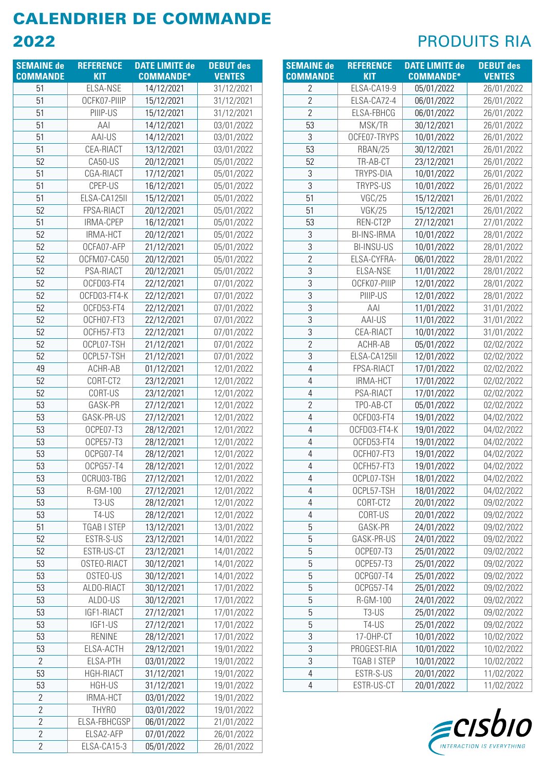| <b>SEMAINE de</b> | <b>REFERENCE</b>   | <b>DATE LIMITE de</b>    | <b>DEBUT des</b>         |
|-------------------|--------------------|--------------------------|--------------------------|
| <b>COMMANDE</b>   | <b>KIT</b>         | <b>COMMANDE*</b>         | <b>VENTES</b>            |
| 51                | ELSA-NSE           | 14/12/2021               | 31/12/2021               |
| 51                | OCFK07-PIIIP       | 15/12/2021               | 31/12/2021               |
| 51                | PIIIP-US           | 15/12/2021               | 31/12/2021               |
| 51                | AAI                | 14/12/2021               | 03/01/2022               |
| 51                | AAI-US             | 14/12/2021               | 03/01/2022               |
| 51                | CEA-RIACT          | 13/12/2021               | 03/01/2022               |
| 52                | CA50-US            | 20/12/2021               | 05/01/2022               |
| 51                | CGA-RIACT          | 17/12/2021               | 05/01/2022               |
| 51                | CPEP-US            | 16/12/2021               | 05/01/2022               |
| 51                | ELSA-CA125II       | 15/12/2021               | 05/01/2022               |
| 52                | FPSA-RIACT         | 20/12/2021               | 05/01/2022               |
| 51                | IRMA-CPEP          | 16/12/2021               | 05/01/2022               |
| 52                | IRMA-HCT           | 20/12/2021               | 05/01/2022               |
| 52                | OCFA07-AFP         | 21/12/2021               | 05/01/2022               |
| 52                | OCFM07-CA50        | 20/12/2021               | 05/01/2022               |
| 52                | PSA-RIACT          | 20/12/2021               | 05/01/2022               |
| 52                | OCFD03-FT4         | 22/12/2021               | 07/01/2022               |
| 52                | OCFD03-FT4-K       | 22/12/2021               | 07/01/2022               |
| 52                | OCFD53-FT4         | 22/12/2021               | 07/01/2022               |
| 52                | OCFH07-FT3         | 22/12/2021               | 07/01/2022               |
| 52                | OCFH57-FT3         | 22/12/2021               | 07/01/2022               |
| 52                | OCPL07-TSH         | 21/12/2021               | 07/01/2022               |
| 52                | OCPL57-TSH         | 21/12/2021               | 07/01/2022               |
| 49                | ACHR-AB            | 01/12/2021               | 12/01/2022               |
| 52                | CORT-CT2           | 23/12/2021               | 12/01/2022               |
| 52                | CORT-US<br>GASK-PR | 23/12/2021               | 12/01/2022               |
| 53<br>53          | GASK-PR-US         | 27/12/2021<br>27/12/2021 | 12/01/2022<br>12/01/2022 |
| 53                | OCPE07-T3          | 28/12/2021               | 12/01/2022               |
| 53                | OCPE57-T3          | 28/12/2021               | 12/01/2022               |
| 53                | OCPG07-T4          | 28/12/2021               | 12/01/2022               |
| 53                | OCPG57-T4          | 28/12/2021               | 12/01/2022               |
| 53                | OCRU03-TBG         | 27/12/2021               | 12/01/2022               |
| 53                | R-GM-100           | 27/12/2021               | 12/01/2022               |
| 53                | T3-US              | 28/12/2021               | 12/01/2022               |
| 53                | T4-US              | 28/12/2021               | 12/01/2022               |
| 51                | TGAB I STEP        | 13/12/2021               | 13/01/2022               |
| 52                | ESTR-S-US          | 23/12/2021               | 14/01/2022               |
| 52                | ESTR-US-CT         | 23/12/2021               | 14/01/2022               |
| 53                | OSTEO-RIACT        | 30/12/2021               | 14/01/2022               |
| 53                | OSTEO-US           | 30/12/2021               | 14/01/2022               |
| 53                | ALDO-RIACT         | 30/12/2021               | 17/01/2022               |
| 53                | ALDO-US            | 30/12/2021               | 17/01/2022               |
| 53                | IGF1-RIACT         | 27/12/2021               | 17/01/2022               |
| 53                | IGF1-US            | 27/12/2021               | 17/01/2022               |
| 53                | <b>RENINE</b>      | 28/12/2021               | 17/01/2022               |
| 53                | ELSA-ACTH          | 29/12/2021               | 19/01/2022               |
| 2                 | ELSA-PTH           | 03/01/2022               | 19/01/2022               |
| 53                | <b>HGH-RIACT</b>   | 31/12/2021               | 19/01/2022               |
| 53                | <b>HGH-US</b>      | 31/12/2021               | 19/01/2022               |
| $\overline{c}$    | <b>IRMA-HCT</b>    | 03/01/2022               | 19/01/2022               |
| 2                 | THYRO              | 03/01/2022               | 19/01/2022               |
| $\overline{2}$    | ELSA-FBHCGSP       | 06/01/2022               | 21/01/2022               |
| $\overline{2}$    | ELSA2-AFP          | 07/01/2022               | 26/01/2022               |
| $\overline{2}$    | ELSA-CA15-3        | 05/01/2022               | 26/01/2022               |

| <b>SEMAINE de</b> | <b>REFERENCE</b>   | <b>DATE LIMITE de</b> | <b>DEBUT des</b> |
|-------------------|--------------------|-----------------------|------------------|
| <b>COMMANDE</b>   | <b>KIT</b>         | <b>COMMANDE*</b>      | <b>VENTES</b>    |
| $\overline{2}$    | ELSA-CA19-9        | 05/01/2022            | 26/01/2022       |
| $\overline{2}$    | ELSA-CA72-4        | 06/01/2022            | 26/01/2022       |
| $\overline{2}$    | ELSA-FBHCG         | 06/01/2022            | 26/01/2022       |
| 53                | MSK/TR             | 30/12/2021            | 26/01/2022       |
| 3                 | OCFE07-TRYPS       | 10/01/2022            | 26/01/2022       |
| 53                | RBAN/25            | 30/12/2021            | 26/01/2022       |
| 52                | TR-AB-CT           | 23/12/2021            | 26/01/2022       |
| 3                 | TRYPS-DIA          | 10/01/2022            | 26/01/2022       |
| 3                 | TRYPS-US           | 10/01/2022            | 26/01/2022       |
| 51                | VGC/25             | 15/12/2021            | 26/01/2022       |
| 51                | <b>VGK/25</b>      | 15/12/2021            | 26/01/2022       |
| 53                | REN-CT2P           | 27/12/2021            | 27/01/2022       |
| 3                 | <b>BI-INS-IRMA</b> | 10/01/2022            | 28/01/2022       |
| 3                 | <b>BI-INSU-US</b>  | 10/01/2022            | 28/01/2022       |
| $\overline{2}$    | ELSA-CYFRA-        | 06/01/2022            | 28/01/2022       |
| 3                 | ELSA-NSE           | 11/01/2022            | 28/01/2022       |
| 3                 | OCFK07-PIIIP       | 12/01/2022            | 28/01/2022       |
| 3                 | PIIIP-US           | 12/01/2022            | 28/01/2022       |
| 3                 | AAI                | 11/01/2022            | 31/01/2022       |
| 3                 | AAI-US             | 11/01/2022            | 31/01/2022       |
| 3                 | CEA-RIACT          | 10/01/2022            | 31/01/2022       |
| $\overline{2}$    | ACHR-AB            | 05/01/2022            | 02/02/2022       |
| 3                 | ELSA-CA125II       | 12/01/2022            | 02/02/2022       |
| 4                 | FPSA-RIACT         | 17/01/2022            | 02/02/2022       |
| 4                 | IRMA-HCT           | 17/01/2022            | 02/02/2022       |
| 4                 | PSA-RIACT          | 17/01/2022            | 02/02/2022       |
| $\overline{2}$    | TPO-AB-CT          | 05/01/2022            | 02/02/2022       |
| 4                 | OCFD03-FT4         | 19/01/2022            | 04/02/2022       |
| 4                 | OCFD03-FT4-K       | 19/01/2022            | 04/02/2022       |
| 4                 | OCFD53-FT4         | 19/01/2022            | 04/02/2022       |
| 4                 | OCFH07-FT3         | 19/01/2022            | 04/02/2022       |
| 4                 | OCFH57-FT3         | 19/01/2022            | 04/02/2022       |
| 4                 | OCPL07-TSH         | 18/01/2022            | 04/02/2022       |
| 4                 | OCPL57-TSH         | 18/01/2022            | 04/02/2022       |
| 4                 | CORT-CT2           | 20/01/2022            | 09/02/2022       |
| 4                 | CORT-US            | 20/01/2022            | 09/02/2022       |
| 5                 | GASK-PR            | 24/01/2022            | 09/02/2022       |
| 5                 | GASK-PR-US         | 24/01/2022            | 09/02/2022       |
| 5                 | OCPE07-T3          | 25/01/2022            | 09/02/2022       |
| 5                 | OCPE57-T3          | 25/01/2022            | 09/02/2022       |
| 5                 | OCPG07-T4          | 25/01/2022            | 09/02/2022       |
| 5                 | OCPG57-T4          | 25/01/2022            | 09/02/2022       |
| 5                 | R-GM-100           | 24/01/2022            | 09/02/2022       |
| 5                 | T3-US              | 25/01/2022            | 09/02/2022       |
| 5                 | T4-US              | 25/01/2022            | 09/02/2022       |
| 3                 | 17-OHP-CT          | 10/01/2022            | 10/02/2022       |
| 3                 | PROGEST-RIA        | 10/01/2022            | 10/02/2022       |
| 3                 | TGAB I STEP        | 10/01/2022            | 10/02/2022       |
| 4                 | ESTR-S-US          | 20/01/2022            | 11/02/2022       |
| 4                 | ESTR-US-CT         | 20/01/2022            | 11/02/2022       |

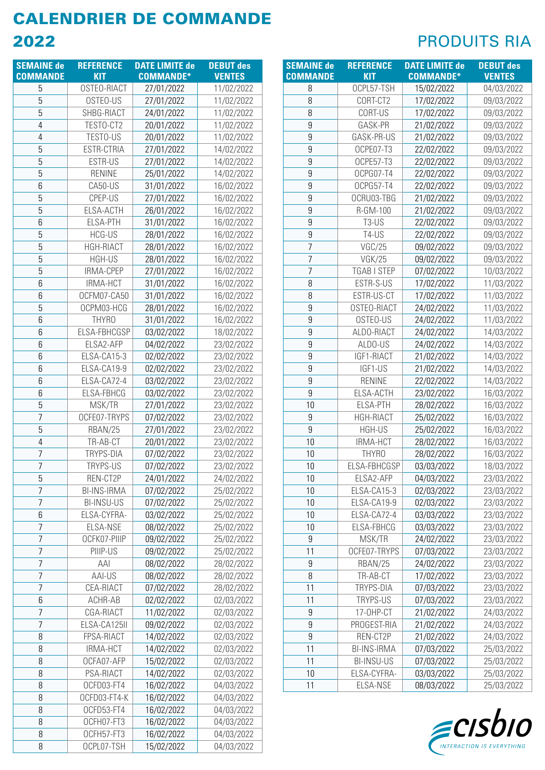| <b>SEMAINE de</b> | <b>REFERENCE</b>   | <b>DATE LIMITE de</b> | <b>DEBUT des</b> |
|-------------------|--------------------|-----------------------|------------------|
| <b>COMMANDE</b>   | <b>KIT</b>         | <b>COMMANDE*</b>      | <b>VENTES</b>    |
| 5                 | OSTEO-RIACT        | 27/01/2022            | 11/02/2022       |
| 5                 | OSTEO-US           | 27/01/2022            | 11/02/2022       |
| 5                 | SHBG-RIACT         | 24/01/2022            | 11/02/2022       |
| 4                 | TESTO-CT2          | 20/01/2022            | 11/02/2022       |
| 4                 | TESTO-US           | 20/01/2022            | 11/02/2022       |
| 5                 | ESTR-CTRIA         | 27/01/2022            | 14/02/2022       |
| 5                 | ESTR-US            | 27/01/2022            | 14/02/2022       |
| 5                 | <b>RENINE</b>      | 25/01/2022            | 14/02/2022       |
| 6                 | CA50-US            | 31/01/2022            | 16/02/2022       |
| 5                 | CPEP-US            | 27/01/2022            | 16/02/2022       |
| 5                 | ELSA-ACTH          | 26/01/2022            | 16/02/2022       |
| 6                 | <b>ELSA-PTH</b>    | 31/01/2022            | 16/02/2022       |
| 5                 | <b>HCG-US</b>      | 28/01/2022            | 16/02/2022       |
| 5                 | HGH-RIACT          | 28/01/2022            | 16/02/2022       |
| 5                 | HGH-US             | 28/01/2022            | 16/02/2022       |
| 5                 | IRMA-CPEP          | 27/01/2022            | 16/02/2022       |
| 6                 | IRMA-HCT           | 31/01/2022            | 16/02/2022       |
| 6                 | OCFM07-CA50        | 31/01/2022            | 16/02/2022       |
| 5                 | OCPM03-HCG         | 28/01/2022            | 16/02/2022       |
| 6                 | THYR <sub>0</sub>  | 31/01/2022            | 16/02/2022       |
| 6                 | ELSA-FBHCGSP       | 03/02/2022            | 18/02/2022       |
| 6                 | ELSA2-AFP          | 04/02/2022            | 23/02/2022       |
| 6                 | ELSA-CA15-3        | 02/02/2022            | 23/02/2022       |
| 6                 | ELSA-CA19-9        | 02/02/2022            | 23/02/2022       |
| 6                 | ELSA-CA72-4        | 03/02/2022            | 23/02/2022       |
| 6                 | ELSA-FBHCG         | 03/02/2022            | 23/02/2022       |
| 5                 | MSK/TR             | 27/01/2022            | 23/02/2022       |
| 7                 | OCFE07-TRYPS       | 07/02/2022            | 23/02/2022       |
| 5                 | RBAN/25            | 27/01/2022            | 23/02/2022       |
| 4                 | TR-AB-CT           | 20/01/2022            | 23/02/2022       |
| $\overline{7}$    | TRYPS-DIA          | 07/02/2022            | 23/02/2022       |
| $\overline{7}$    | TRYPS-US           | 07/02/2022            | 23/02/2022       |
| 5                 | REN-CT2P           | 24/01/2022            | 24/02/2022       |
| 7                 | <b>BI-INS-IRMA</b> | 07/02/2022            | 25/02/2022       |
| 7                 | <b>BI-INSU-US</b>  | 07/02/2022            | 25/02/2022       |
| 6                 | ELSA-CYFRA-        | 03/02/2022            | 25/02/2022       |
| 7                 | ELSA-NSE           | 08/02/2022            | 25/02/2022       |
| 7                 | OCFK07-PIIIP       | 09/02/2022            | 25/02/2022       |
| 7                 | PIIIP-US           | 09/02/2022            | 25/02/2022       |
| 7                 | AAI                | 08/02/2022            | 28/02/2022       |
| 7                 | AAI-US             | 08/02/2022            | 28/02/2022       |
| $\overline{7}$    | CEA-RIACT          | 07/02/2022            | 28/02/2022       |
| 6                 | ACHR-AB            | 02/02/2022            | 02/03/2022       |
| $\overline{7}$    | CGA-RIACT          | 11/02/2022            | 02/03/2022       |
| 7                 | ELSA-CA125II       | 09/02/2022            | 02/03/2022       |
| 8                 | FPSA-RIACT         | 14/02/2022            | 02/03/2022       |
| 8                 | <b>IRMA-HCT</b>    | 14/02/2022            | 02/03/2022       |
| 8                 | OCFA07-AFP         | 15/02/2022            | 02/03/2022       |
| 8                 | PSA-RIACT          | 14/02/2022            | 02/03/2022       |
| 8                 | OCFD03-FT4         | 16/02/2022            | 04/03/2022       |
| 8                 | OCFD03-FT4-K       | 16/02/2022            | 04/03/2022       |
| 8                 | OCFD53-FT4         | 16/02/2022            | 04/03/2022       |
| 8                 | OCFH07-FT3         | 16/02/2022            | 04/03/2022       |
| 8                 | OCFH57-FT3         | 16/02/2022            | 04/03/2022       |
| 8                 | OCPL07-TSH         | 15/02/2022            | 04/03/2022       |

| <b>SEMAINE</b> de | <b>REFERENCE</b>   | <b>DATE LIMITE de</b> | <b>DEBUT des</b> |
|-------------------|--------------------|-----------------------|------------------|
| <b>COMMANDE</b>   | <b>KIT</b>         | <b>COMMANDE*</b>      | <b>VENTES</b>    |
| 8                 | OCPL57-TSH         | 15/02/2022            | 04/03/2022       |
| 8                 | CORT-CT2           | 17/02/2022            | 09/03/2022       |
| 8                 | CORT-US            | 17/02/2022            | 09/03/2022       |
| 9                 | GASK-PR            | 21/02/2022            | 09/03/2022       |
| 9                 | GASK-PR-US         | 21/02/2022            | 09/03/2022       |
| 9                 | OCPE07-T3          | 22/02/2022            | 09/03/2022       |
| 9                 | OCPE57-T3          | 22/02/2022            | 09/03/2022       |
| 9                 | OCPG07-T4          | 22/02/2022            | 09/03/2022       |
| 9                 | OCPG57-T4          | 22/02/2022            | 09/03/2022       |
| 9                 | OCRU03-TBG         | 21/02/2022            | 09/03/2022       |
| 9                 | R-GM-100           | 21/02/2022            | 09/03/2022       |
| 9                 | T3-US              | 22/02/2022            | 09/03/2022       |
| 9                 | T4-US              | 22/02/2022            | 09/03/2022       |
| $\overline{7}$    | <b>VGC/25</b>      | 09/02/2022            | 09/03/2022       |
| 7                 | <b>VGK/25</b>      | 09/02/2022            | 09/03/2022       |
| 7                 | TGAB I STEP        | 07/02/2022            | 10/03/2022       |
| 8                 | ESTR-S-US          | 17/02/2022            | 11/03/2022       |
| 8                 | ESTR-US-CT         | 17/02/2022            | 11/03/2022       |
| 9                 | OSTEO-RIACT        | 24/02/2022            | 11/03/2022       |
| 9                 | OSTEO-US           | 24/02/2022            | 11/03/2022       |
| 9                 | ALDO-RIACT         | 24/02/2022            | 14/03/2022       |
| 9                 | ALDO-US            | 24/02/2022            | 14/03/2022       |
| 9                 | IGF1-RIACT         | 21/02/2022            | 14/03/2022       |
| 9                 | IGF1-US            | 21/02/2022            | 14/03/2022       |
| 9                 | <b>RENINE</b>      | 22/02/2022            | 14/03/2022       |
| 9                 | ELSA-ACTH          | 23/02/2022            | 16/03/2022       |
| 10                | <b>ELSA-PTH</b>    | 28/02/2022            | 16/03/2022       |
| 9                 | HGH-RIACT          | 25/02/2022            | 16/03/2022       |
| 9                 | <b>HGH-US</b>      | 25/02/2022            | 16/03/2022       |
| 10                | <b>IRMA-HCT</b>    | 28/02/2022            | 16/03/2022       |
| 10                | THYR <sub>0</sub>  | 28/02/2022            | 16/03/2022       |
| 10                | ELSA-FBHCGSP       | 03/03/2022            | 18/03/2022       |
| 10                | ELSA2-AFP          | 04/03/2022            | 23/03/2022       |
| 10                | ELSA-CA15-3        | 02/03/2022            | 23/03/2022       |
| 10                | ELSA-CA19-9        | 02/03/2022            | 23/03/2022       |
| 10                | ELSA-CA72-4        | 03/03/2022            | 23/03/2022       |
| 10                | ELSA-FBHCG         | 03/03/2022            | 23/03/2022       |
| 9                 | MSK/TR             | 24/02/2022            | 23/03/2022       |
| 11                | OCFE07-TRYPS       | 07/03/2022            | 23/03/2022       |
| 9                 | RBAN/25            | 24/02/2022            | 23/03/2022       |
| 8                 | TR-AB-CT           | 17/02/2022            | 23/03/2022       |
| 11                | TRYPS-DIA          | 07/03/2022            | 23/03/2022       |
| 11                | TRYPS-US           | 07/03/2022            | 23/03/2022       |
| 9                 | 17-OHP-CT          | 21/02/2022            | 24/03/2022       |
| 9                 | PROGEST-RIA        | 21/02/2022            | 24/03/2022       |
| 9                 | REN-CT2P           | 21/02/2022            | 24/03/2022       |
| 11                | <b>BI-INS-IRMA</b> | 07/03/2022            | 25/03/2022       |
| 11                | <b>BI-INSU-US</b>  | 07/03/2022            | 25/03/2022       |
| 10                | ELSA-CYFRA-        | 03/03/2022            | 25/03/2022       |
| 11                | ELSA-NSE           | 08/03/2022            | 25/03/2022       |

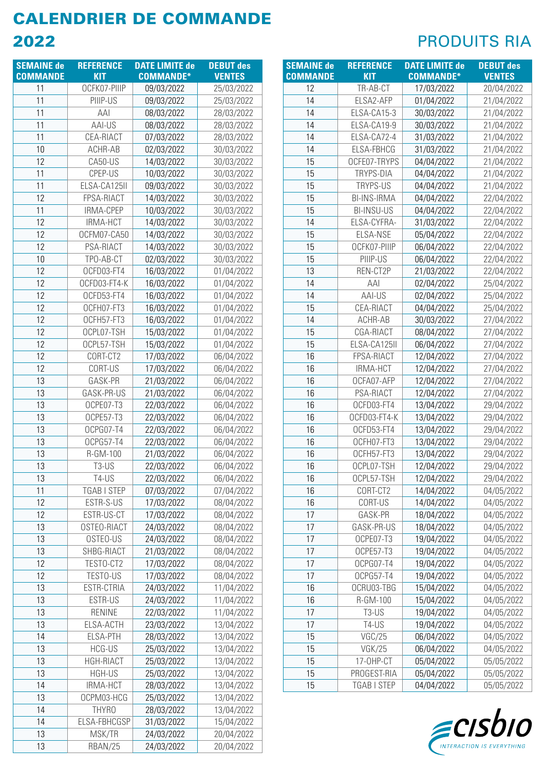| <b>SEMAINE de</b> | <b>REFERENCE</b>      | <b>DATE LIMITE de</b>    | <b>DEBUT des</b>         |
|-------------------|-----------------------|--------------------------|--------------------------|
| <b>COMMANDE</b>   | <b>KIT</b>            | <b>COMMANDE*</b>         | <b>VENTES</b>            |
| 11                | OCFK07-PIIIP          | 09/03/2022               | 25/03/2022               |
| 11                | PIIIP-US              | 09/03/2022               | 25/03/2022               |
| 11                | AAI                   | 08/03/2022               | 28/03/2022               |
| 11                | AAI-US                | 08/03/2022               | 28/03/2022               |
| 11                | CEA-RIACT             | 07/03/2022               | 28/03/2022               |
| 10                | ACHR-AB               | 02/03/2022               | 30/03/2022               |
| 12                | CA50-US               | 14/03/2022               | 30/03/2022               |
| 11                | CPEP-US               | 10/03/2022               | 30/03/2022               |
| 11                | ELSA-CA125II          | 09/03/2022               | 30/03/2022               |
| 12                | FPSA-RIACT            | 14/03/2022               | 30/03/2022               |
| 11                | IRMA-CPEP             | 10/03/2022               | 30/03/2022               |
| 12                | IRMA-HCT              | 14/03/2022               | 30/03/2022               |
| 12                | OCFM07-CA50           | 14/03/2022               | 30/03/2022               |
| 12                | PSA-RIACT             | 14/03/2022               | 30/03/2022               |
| 10                | TPO-AB-CT             | 02/03/2022               | 30/03/2022               |
| 12                | OCFD03-FT4            | 16/03/2022               | 01/04/2022               |
| 12                | OCFD03-FT4-K          | 16/03/2022               | 01/04/2022               |
| 12                | OCFD53-FT4            | 16/03/2022               | 01/04/2022               |
| 12                | OCFH07-FT3            | 16/03/2022               | 01/04/2022               |
| 12                | OCFH57-FT3            | 16/03/2022               | 01/04/2022               |
| 12                | OCPL07-TSH            | 15/03/2022               | 01/04/2022               |
| 12                | OCPL57-TSH            | 15/03/2022               | 01/04/2022               |
| 12                | CORT-CT2              | 17/03/2022               | 06/04/2022               |
| 12                | CORT-US               | 17/03/2022               | 06/04/2022               |
| 13                | GASK-PR               | 21/03/2022               | 06/04/2022               |
| 13                | GASK-PR-US            | 21/03/2022               | 06/04/2022               |
| 13                | OCPE07-T3             | 22/03/2022               | 06/04/2022               |
| 13                | OCPE57-T3             | 22/03/2022               | 06/04/2022               |
| 13                | OCPG07-T4             | 22/03/2022               | 06/04/2022               |
| 13<br>13          | OCPG57-T4<br>R-GM-100 | 22/03/2022               | 06/04/2022<br>06/04/2022 |
| 13                | $T3-US$               | 21/03/2022<br>22/03/2022 |                          |
| 13                | T4-US                 |                          | 06/04/2022               |
| 11                | TGAB I STEP           | 22/03/2022<br>07/03/2022 | 06/04/2022<br>07/04/2022 |
| 12                | ESTR-S-US             | 17/03/2022               | 08/04/2022               |
| 12                | ESTR-US-CT            | 17/03/2022               | 08/04/2022               |
| 13                | OSTEO-RIACT           | 24/03/2022               | 08/04/2022               |
| 13                | OSTEO-US              | 24/03/2022               | 08/04/2022               |
| 13                | SHBG-RIACT            | 21/03/2022               | 08/04/2022               |
| 12                | TESTO-CT2             | 17/03/2022               | 08/04/2022               |
| 12                | TESTO-US              | 17/03/2022               | 08/04/2022               |
| 13                | ESTR-CTRIA            | 24/03/2022               | 11/04/2022               |
| 13                | ESTR-US               | 24/03/2022               | 11/04/2022               |
| 13                | <b>RENINE</b>         | 22/03/2022               | 11/04/2022               |
| 13                | ELSA-ACTH             | 23/03/2022               | 13/04/2022               |
| 14                | ELSA-PTH              | 28/03/2022               | 13/04/2022               |
| 13                | HCG-US                | 25/03/2022               | 13/04/2022               |
| 13                | <b>HGH-RIACT</b>      | 25/03/2022               | 13/04/2022               |
| 13                | HGH-US                | 25/03/2022               | 13/04/2022               |
| 14                | <b>IRMA-HCT</b>       | 28/03/2022               | 13/04/2022               |
| 13                | OCPM03-HCG            | 25/03/2022               | 13/04/2022               |
| 14                | THYRO                 | 28/03/2022               | 13/04/2022               |
| 14                | ELSA-FBHCGSP          | 31/03/2022               | 15/04/2022               |
| 13                | MSK/TR                | 24/03/2022               | 20/04/2022               |
| 13                | RBAN/25               | 24/03/2022               | 20/04/2022               |

| <b>SEMAINE de</b> | <b>REFERENCE</b>   | <b>DATE LIMITE de</b> | <b>DEBUT des</b> |
|-------------------|--------------------|-----------------------|------------------|
| <b>COMMANDE</b>   | <b>KIT</b>         | <b>COMMANDE*</b>      | <b>VENTES</b>    |
| 12                | TR-AB-CT           | 17/03/2022            | 20/04/2022       |
| 14                | ELSA2-AFP          | 01/04/2022            | 21/04/2022       |
| 14                | ELSA-CA15-3        | 30/03/2022            | 21/04/2022       |
| 14                | ELSA-CA19-9        | 30/03/2022            | 21/04/2022       |
| 14                | ELSA-CA72-4        | 31/03/2022            | 21/04/2022       |
| 14                | ELSA-FBHCG         | 31/03/2022            | 21/04/2022       |
| 15                | OCFE07-TRYPS       | 04/04/2022            | 21/04/2022       |
| 15                | TRYPS-DIA          | 04/04/2022            | 21/04/2022       |
| 15                | TRYPS-US           | 04/04/2022            | 21/04/2022       |
| 15                | <b>BI-INS-IRMA</b> | 04/04/2022            | 22/04/2022       |
| 15                | <b>BI-INSU-US</b>  | 04/04/2022            | 22/04/2022       |
| 14                | ELSA-CYFRA-        | 31/03/2022            | 22/04/2022       |
| 15                | ELSA-NSE           | 05/04/2022            | 22/04/2022       |
| 15                | OCFK07-PIIIP       | 06/04/2022            | 22/04/2022       |
| 15                | PIIIP-US           | 06/04/2022            | 22/04/2022       |
| 13                | REN-CT2P           | 21/03/2022            | 22/04/2022       |
| 14                | AAI                | 02/04/2022            | 25/04/2022       |
| 14                | AAI-US             | 02/04/2022            | 25/04/2022       |
| 15                | CEA-RIACT          | 04/04/2022            | 25/04/2022       |
| 14                | ACHR-AB            | 30/03/2022            | 27/04/2022       |
| 15                | CGA-RIACT          | 08/04/2022            | 27/04/2022       |
| 15                | ELSA-CA125II       | 06/04/2022            | 27/04/2022       |
| 16                | FPSA-RIACT         | 12/04/2022            | 27/04/2022       |
| 16                | <b>IRMA-HCT</b>    | 12/04/2022            | 27/04/2022       |
| 16                | OCFA07-AFP         | 12/04/2022            | 27/04/2022       |
| 16                | PSA-RIACT          | 12/04/2022            | 27/04/2022       |
| 16                | OCFD03-FT4         | 13/04/2022            | 29/04/2022       |
| 16                | OCFD03-FT4-K       | 13/04/2022            | 29/04/2022       |
| 16                | OCFD53-FT4         | 13/04/2022            | 29/04/2022       |
| 16                | OCFH07-FT3         | 13/04/2022            | 29/04/2022       |
| 16                | OCFH57-FT3         | 13/04/2022            | 29/04/2022       |
| 16                | OCPL07-TSH         | 12/04/2022            | 29/04/2022       |
| 16                | OCPL57-TSH         | 12/04/2022            | 29/04/2022       |
| 16                | CORT-CT2           | 14/04/2022            | 04/05/2022       |
| 16                | CORT-US            | 14/04/2022            | 04/05/2022       |
| 17                | GASK-PR            | 18/04/2022            | 04/05/2022       |
| 17                | GASK-PR-US         | 18/04/2022            | 04/05/2022       |
| 17                | OCPE07-T3          | 19/04/2022            | 04/05/2022       |
| 17                | OCPE57-T3          | 19/04/2022            | 04/05/2022       |
| 17                | OCPG07-T4          | 19/04/2022            | 04/05/2022       |
| 17                | OCPG57-T4          | 19/04/2022            | 04/05/2022       |
| 16                | OCRU03-TBG         | 15/04/2022            | 04/05/2022       |
| 16                | R-GM-100           | 15/04/2022            | 04/05/2022       |
| 17                | T3-US              | 19/04/2022            | 04/05/2022       |
| 17                | T4-US              | 19/04/2022            | 04/05/2022       |
| 15                | VGC/25             | 06/04/2022            | 04/05/2022       |
| 15                | <b>VGK/25</b>      | 06/04/2022            | 04/05/2022       |
| 15                | 17-OHP-CT          | 05/04/2022            | 05/05/2022       |
| 15                | PROGEST-RIA        | 05/04/2022            | 05/05/2022       |
| 15                | TGAB I STEP        | 04/04/2022            | 05/05/2022       |